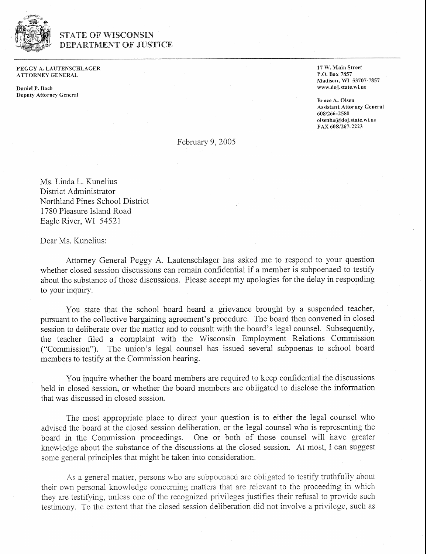

## STATE OF WISCONSIN DEPARTMENT OF JUSTICE

**PEGGY A. LAUTENSCHLAGER ATTORNEY GENERAL** 

**Daniel P. Bach Deputy Attorney General**  **17 W. Main Street P.O. Box 7857 Madison, WI 53707-7857 www.doj.state.wi.us** 

**Bruce A. Olsen Assistant Attorney General 608/266-2580 oisenba@,doj.state.wi.us FAX 608/267-2223** 

February 9, 2005

Ms. Linda L. Kunelius District Administrator Northland Pines School District 1780 Pleasure Island Road Eagle River, WI 54521

Dear Ms. Kunelius:

Attorney General Peggy A. Lautenschlager has asked me to respond to your question whether closed session discussions can remain confidential if a member is subpoenaed to testify about the substance of those discussions. Please accept my apologies for the delay in responding to your inquiry.

You state that the school board heard a grievance brought by a suspended teacher, pursuant to the collective bargaining agreement's procedure. The board then convened in closed session to deliberate over the matter and to consult with the board's legal counsel. Subsequently, the teacher filed a complaint with the Wisconsin Employment Relations Commission ("Commission"). The union's legal counsel has issued several subpoenas to school board members to testify at the Commission hearing.

You inquire whether the board members are required to keep confidential the discussions held in closed session, or whether the board members are obligated to disclose the information that was discussed in closed session.

The most appropriate place to direct your question is to either the legal counsel who advised the board at the closed session deliberation, or the legal counsel who is representing the board in the Commission proceedings. One or both of those counsel will have greater knowledge about the substance of the discussions at the closed session. At most, I can suggest some general principles that might be taken into consideration.

As a general matter, persons who are subpoenaed are obligated to testify truthfully about their own personal knowledge concerning matters that are relevant to the proceeding in which they are testifying. unless one of the recognized privileges justifies their refusal to provide such testimony. To the extent that the closed session deliberation did not involve a privilege, such as